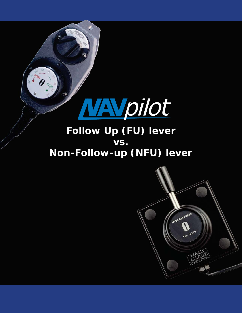

### **Follow Up (FU) lever vs. Non-Follow-up (NFU) lever**

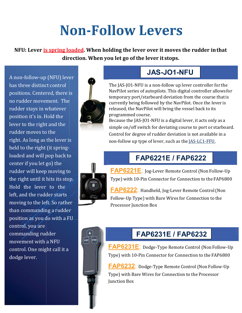## **Non-Follow Levers**

**NFU: Lever is spring loaded. When holding the lever over it moves the rudder in that direction. When you let go of the lever it stops.**

A non-follow-up (NFU) lever has three distinct control positions. Centered, there is no rudder movement. The rudder stays in whatever position it's in. Hold the lever to the right and the rudder moves to the right. As long as the lever is held to the right (it springloaded and will pop back to center if you let go) the rudder will keep moving to the right until it hits its stop. Hold the lever to the left, and the rudder starts moving to the left. So rather than commanding a rudder position as you do with a FU control, you are commanding rudder movement with a NFU control. One might call it a dodge lever.



#### **JAS-JO1-NFU**

The JAS-JO1-NFU is a non-follow up lever controller for the NavPilot series of autopilots. This digital controller allows for temporary port/starboard deviation from the course that is currently being followed by the NavPilot. Once the lever is released, the NavPilot will bring the vessel back to its programmed course.

Because the JAS-JO1-NFU is a digital lever, it acts only as a simple on/off switch for deviating course to port or starboard. Control for degree of rudder deviation is not available in a non-follow up type of lever, such as the JAS-LC1-FFU.

#### **FAP6221E / FAP6222**



**FAP6221E**: Jog-Lever Remote Control (Non Follow-Up Type) with 10-Pin Connector for Connection to the FAP6800

**FAP6222**: Handheld, Jog-Lever Remote Control (Non Follow-Up Type) with Bare Wires for Connection to the Processor Junction Box



#### **FAP6231E / FAP6232**

**FAP6231E**: Dodge-Type Remote Control (Non Follow-Up Type) with 10-Pin Connector for Connection to the FAP6800

**FAP6232**: Dodge-Type Remote Control (Non Follow-Up Type) with Bare Wires for Connection to the Processor Junction Box